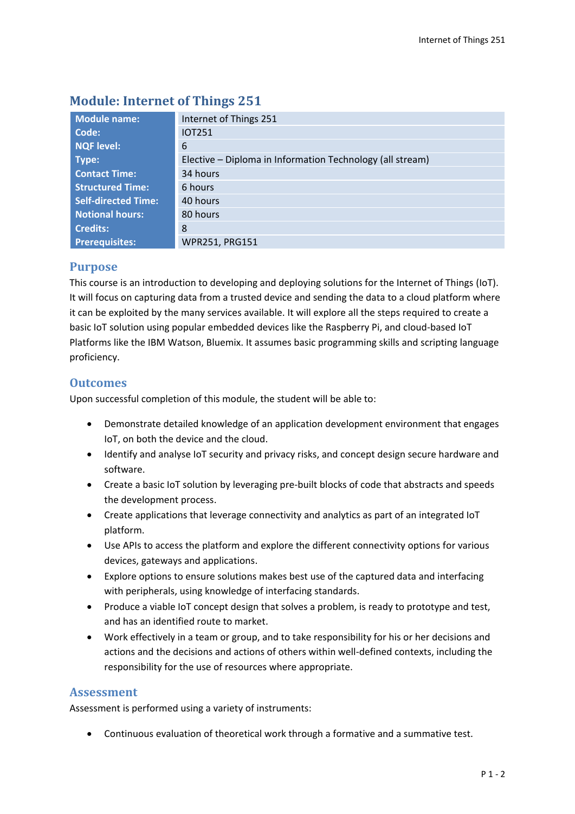| Module name:               | Internet of Things 251                                    |
|----------------------------|-----------------------------------------------------------|
| Code:                      | <b>IOT251</b>                                             |
| <b>NQF level:</b>          | 6                                                         |
| Type:                      | Elective - Diploma in Information Technology (all stream) |
| <b>Contact Time:</b>       | 34 hours                                                  |
| <b>Structured Time:</b>    | 6 hours                                                   |
| <b>Self-directed Time:</b> | 40 hours                                                  |
| <b>Notional hours:</b>     | 80 hours                                                  |
| <b>Credits:</b>            | 8                                                         |
| <b>Prerequisites:</b>      | WPR251, PRG151                                            |

# **Module: Internet of Things 251**

## **Purpose**

This course is an introduction to developing and deploying solutions for the Internet of Things (IoT). It will focus on capturing data from a trusted device and sending the data to a cloud platform where it can be exploited by the many services available. It will explore all the steps required to create a basic IoT solution using popular embedded devices like the Raspberry Pi, and cloud-based IoT Platforms like the IBM Watson, Bluemix. It assumes basic programming skills and scripting language proficiency.

## **Outcomes**

Upon successful completion of this module, the student will be able to:

- Demonstrate detailed knowledge of an application development environment that engages IoT, on both the device and the cloud.
- Identify and analyse IoT security and privacy risks, and concept design secure hardware and software.
- Create a basic IoT solution by leveraging pre-built blocks of code that abstracts and speeds the development process.
- Create applications that leverage connectivity and analytics as part of an integrated IoT platform.
- Use APIs to access the platform and explore the different connectivity options for various devices, gateways and applications.
- Explore options to ensure solutions makes best use of the captured data and interfacing with peripherals, using knowledge of interfacing standards.
- Produce a viable IoT concept design that solves a problem, is ready to prototype and test, and has an identified route to market.
- Work effectively in a team or group, and to take responsibility for his or her decisions and actions and the decisions and actions of others within well-defined contexts, including the responsibility for the use of resources where appropriate.

## **Assessment**

Assessment is performed using a variety of instruments:

Continuous evaluation of theoretical work through a formative and a summative test.